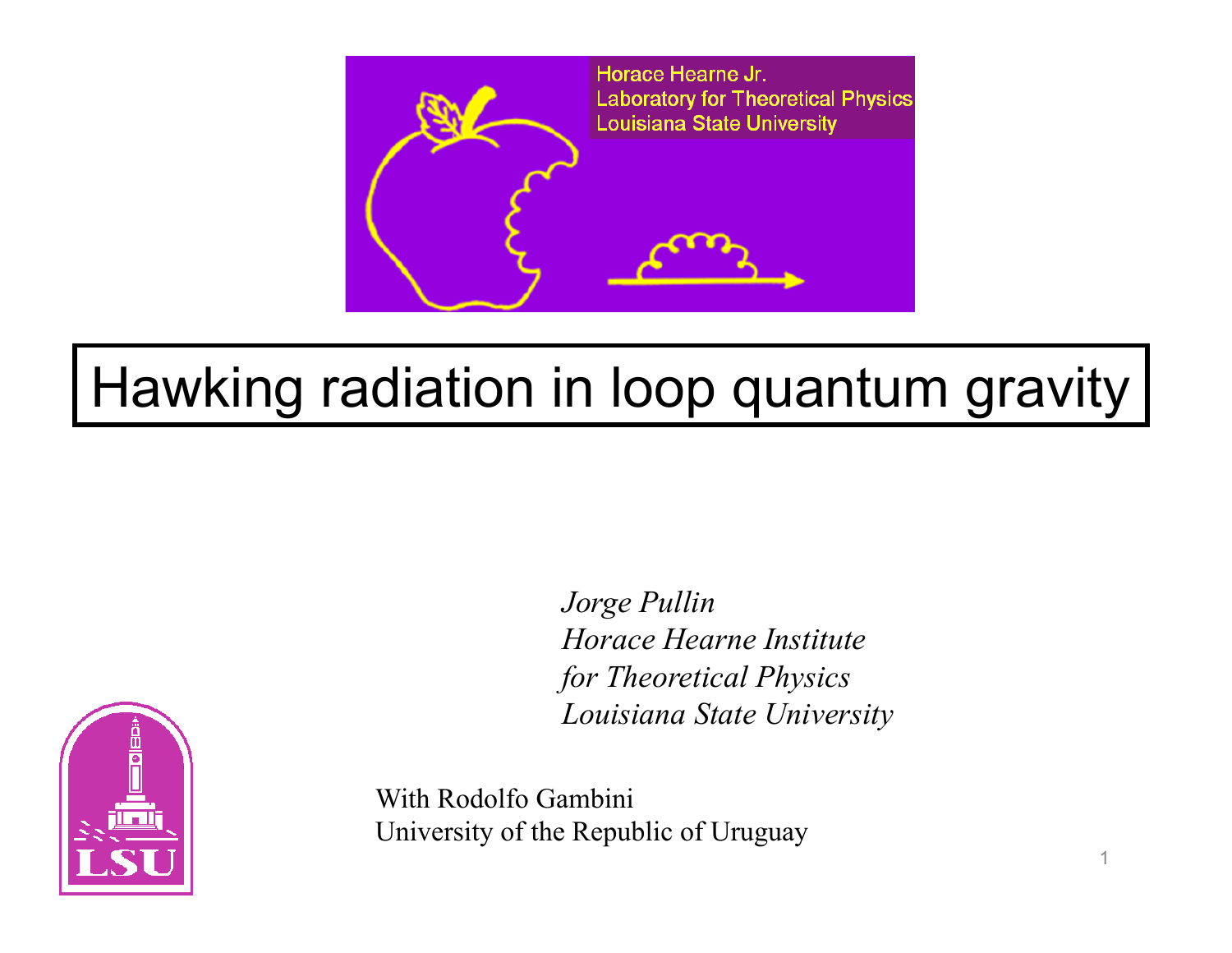

## Hawking radiation in loop quantum gravity

*Jorge Pullin Horace Hearne Institute for Theoretical Physics Louisiana State University*



With Rodolfo Gambini University of the Republic of Uruguay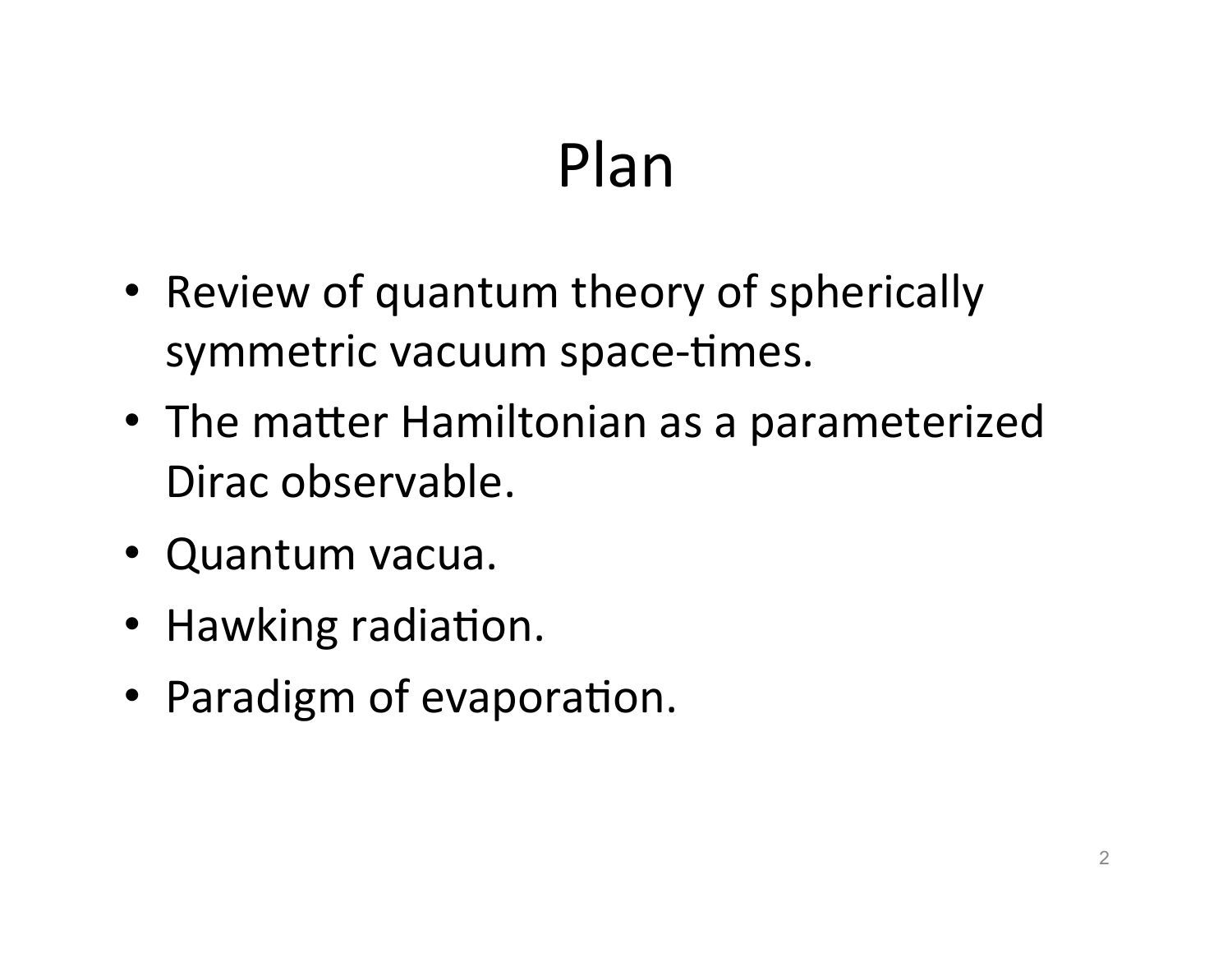## Plan

- Review of quantum theory of spherically symmetric vacuum space-times.
- The matter Hamiltonian as a parameterized Dirac observable.
- Quantum vacua.
- Hawking radiation.
- Paradigm of evaporation.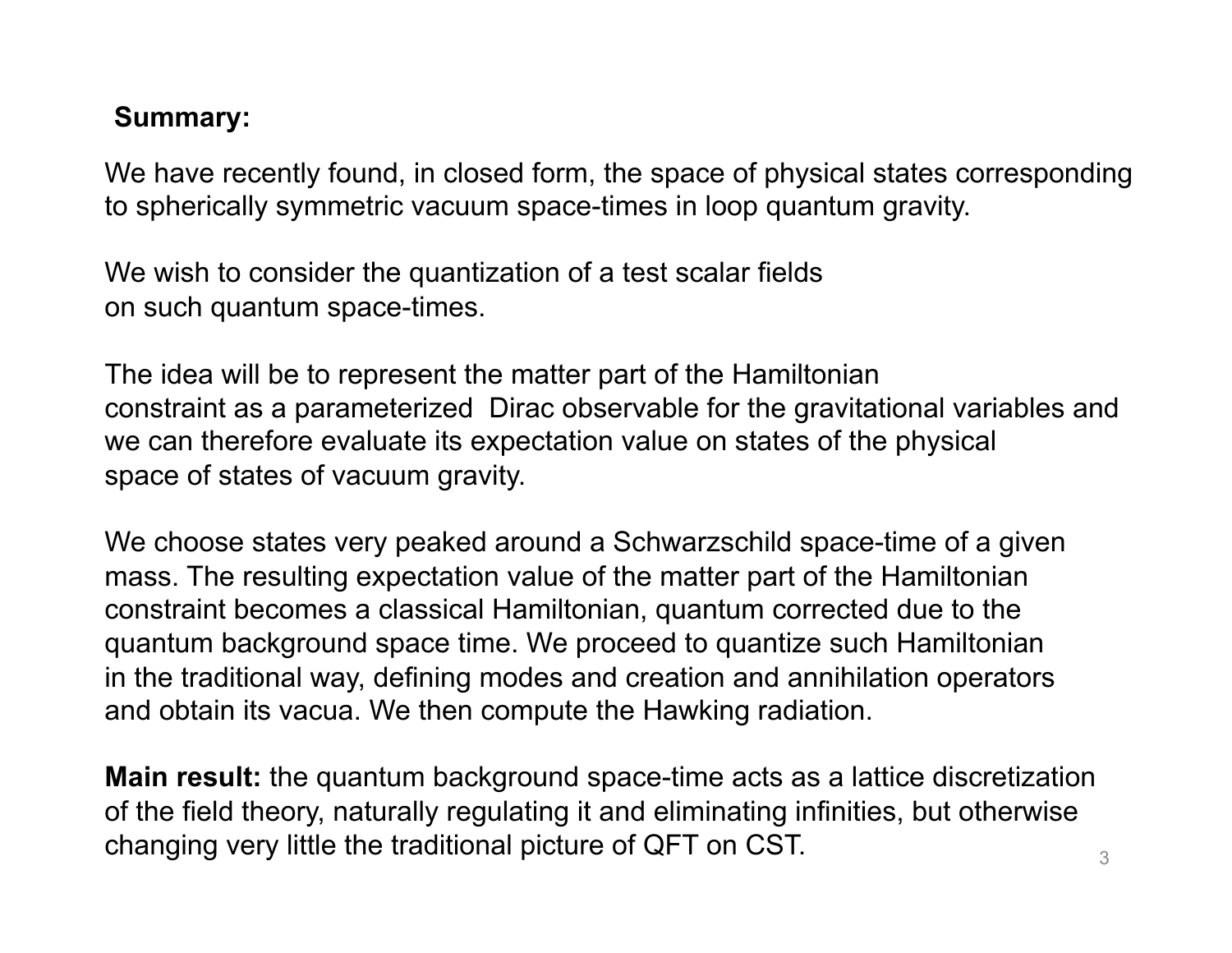## **Summary:**

We have recently found, in closed form, the space of physical states corresponding to spherically symmetric vacuum space-times in loop quantum gravity.

We wish to consider the quantization of a test scalar fields on such quantum space-times.

The idea will be to represent the matter part of the Hamiltonian constraint as a parameterized Dirac observable for the gravitational variables and we can therefore evaluate its expectation value on states of the physical space of states of vacuum gravity.

We choose states very peaked around a Schwarzschild space-time of a given mass. The resulting expectation value of the matter part of the Hamiltonian constraint becomes a classical Hamiltonian, quantum corrected due to the quantum background space time. We proceed to quantize such Hamiltonian in the traditional way, defining modes and creation and annihilation operators and obtain its vacua. We then compute the Hawking radiation.

**Main result:** the quantum background space-time acts as a lattice discretization of the field theory, naturally regulating it and eliminating infinities, but otherwise changing very little the traditional picture of QFT on CST.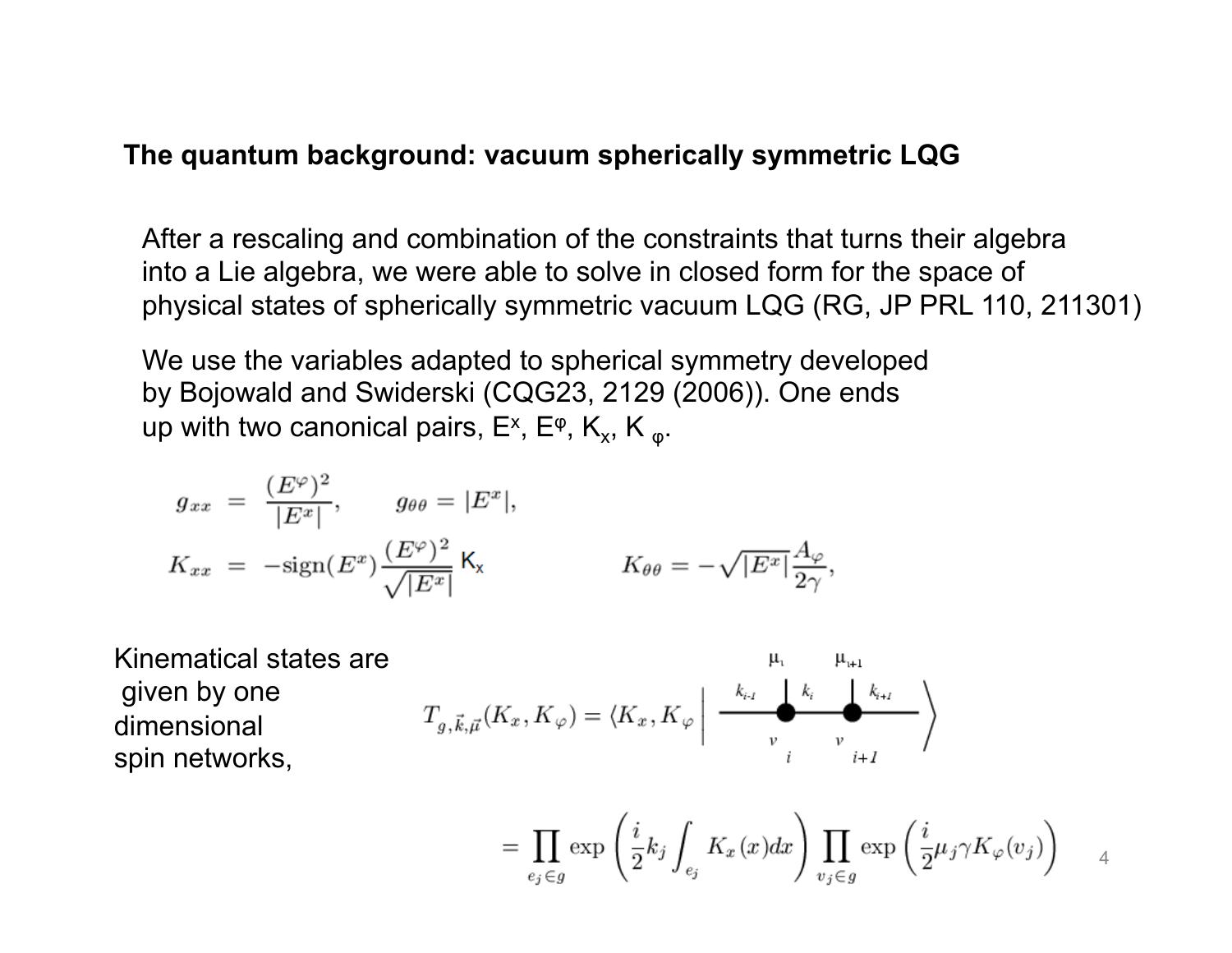#### **The quantum background: vacuum spherically symmetric LQG**

After a rescaling and combination of the constraints that turns their algebra into a Lie algebra, we were able to solve in closed form for the space of physical states of spherically symmetric vacuum LQG (RG, JP PRL 110, 211301)

We use the variables adapted to spherical symmetry developed by Bojowald and Swiderski (CQG23, 2129 (2006)). One ends up with two canonical pairs,  $E^x$ ,  $E^{\varphi}$ ,  $K_x$ ,  $K_{\varphi}$ .

$$
g_{xx} = \frac{(E^{\varphi})^2}{|E^x|}, \qquad g_{\theta\theta} = |E^x|,
$$
  

$$
K_{xx} = -\text{sign}(E^x) \frac{(E^{\varphi})^2}{\sqrt{|E^x|}} K_x \qquad K_{\theta\theta} = -\sqrt{|E^x|} \frac{A_{\varphi}}{2\gamma},
$$

Kinematical states are given by one dimensional spin networks,

$$
T_{g,\vec{k},\vec{\mu}}(K_x, K_{\varphi}) = \langle K_x, K_{\varphi} \mid \xrightarrow{\begin{array}{c} k_{i,j} & k_i \\ \hline \text{ } & \text{ }k_i \\ \text{ } & \text{ }v \\ \text{ } & \text{ }i \end{array}} \rangle
$$

$$
= \prod_{e_j \in g} \exp\left(\frac{i}{2}k_j \int_{e_j} K_x(x) dx\right) \prod_{v_j \in g} \exp\left(\frac{i}{2} \mu_j \gamma K_{\varphi}(v_j)\right) \qquad 4
$$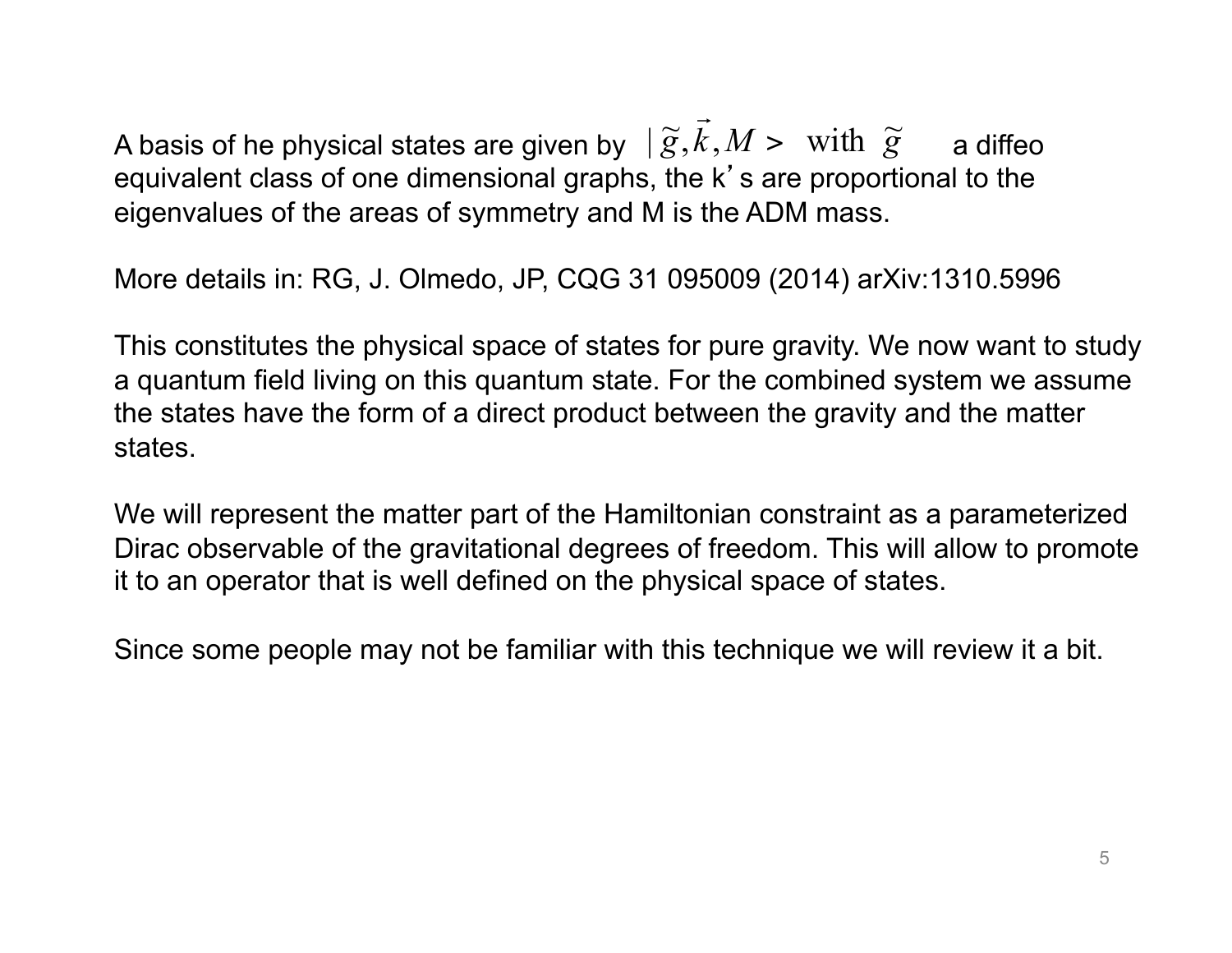A basis of he physical states are given by  $\;|\: \widetilde{g},\vec{k},M> \;\;\text{with} \;\;\widetilde{g}\;\;\;$  a diffeo equivalent class of one dimensional graphs, the k's are proportional to the eigenvalues of the areas of symmetry and M is the ADM mass.

More details in: RG, J. Olmedo, JP, CQG 31 095009 (2014) arXiv:1310.5996

This constitutes the physical space of states for pure gravity. We now want to study a quantum field living on this quantum state. For the combined system we assume the states have the form of a direct product between the gravity and the matter states.

We will represent the matter part of the Hamiltonian constraint as a parameterized Dirac observable of the gravitational degrees of freedom. This will allow to promote it to an operator that is well defined on the physical space of states.

Since some people may not be familiar with this technique we will review it a bit.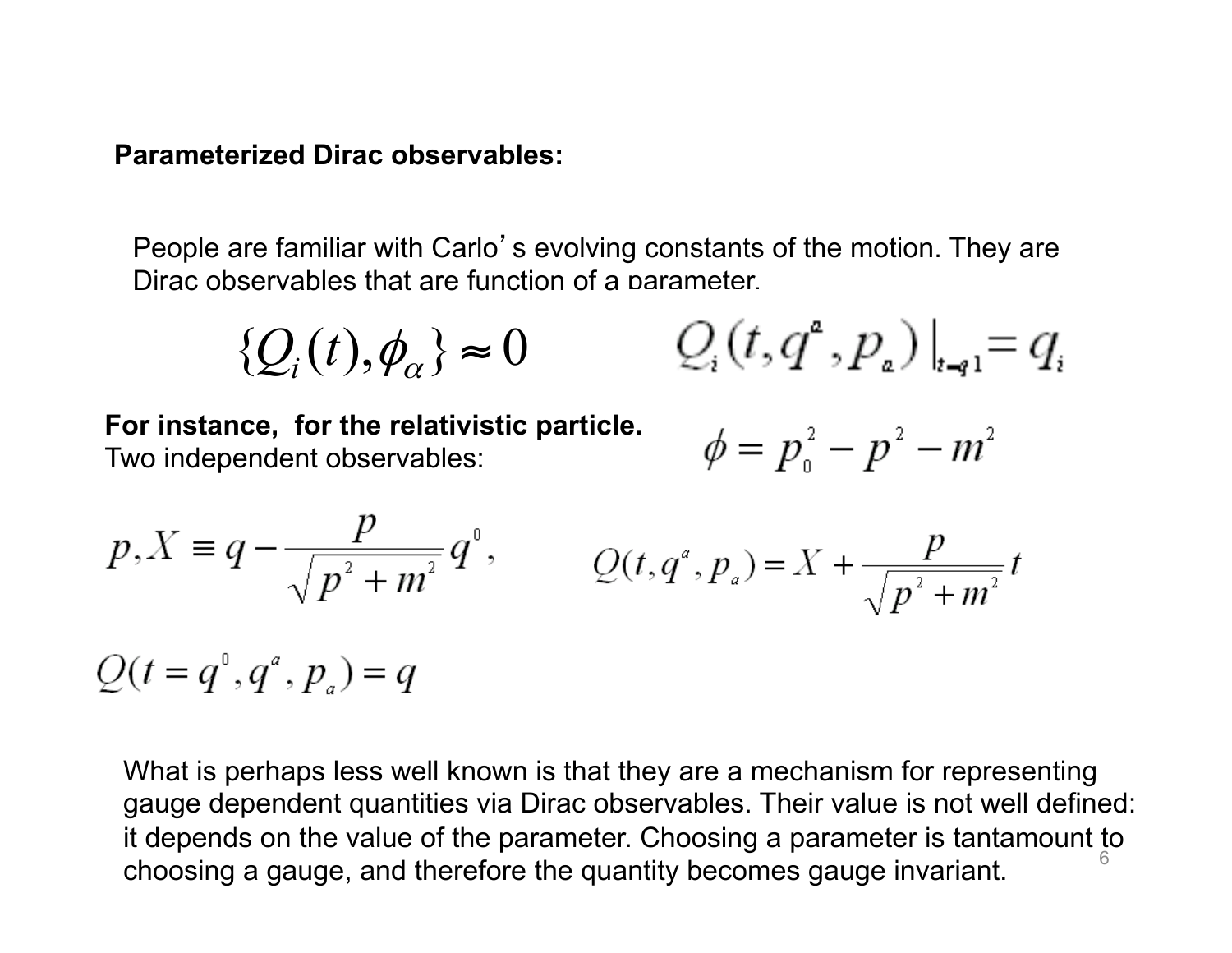#### **Parameterized Dirac observables:**

People are familiar with Carlo's evolving constants of the motion. They are Dirac observables that are function of a parameter.

$$
\{Q_i(t), \phi_\alpha\} \approx 0 \qquad Q_i(t, q^a, p_a)|_{t \to 1} = q_i
$$

**For instance, for the relativistic particle.**  Two independent observables:

$$
\phi=p_{\scriptscriptstyle 0}^{\scriptscriptstyle 2}-p^{\scriptscriptstyle 2}-m^{\scriptscriptstyle 2}
$$

$$
p, X \equiv q - \frac{p}{\sqrt{p^2 + m^2}} q^0, \qquad Q(t, q^a, p_a) = X + \frac{p}{\sqrt{p^2 + m^2}} t
$$

 $Q(t = q^{0}, q^{a}, p_{a}) = q$ 

What is perhaps less well known is that they are a mechanism for representing gauge dependent quantities via Dirac observables. Their value is not well defined: it depends on the value of the parameter. Choosing a parameter is tantamount to choosing a gauge, and therefore the quantity becomes gauge invariant. <sup>6</sup>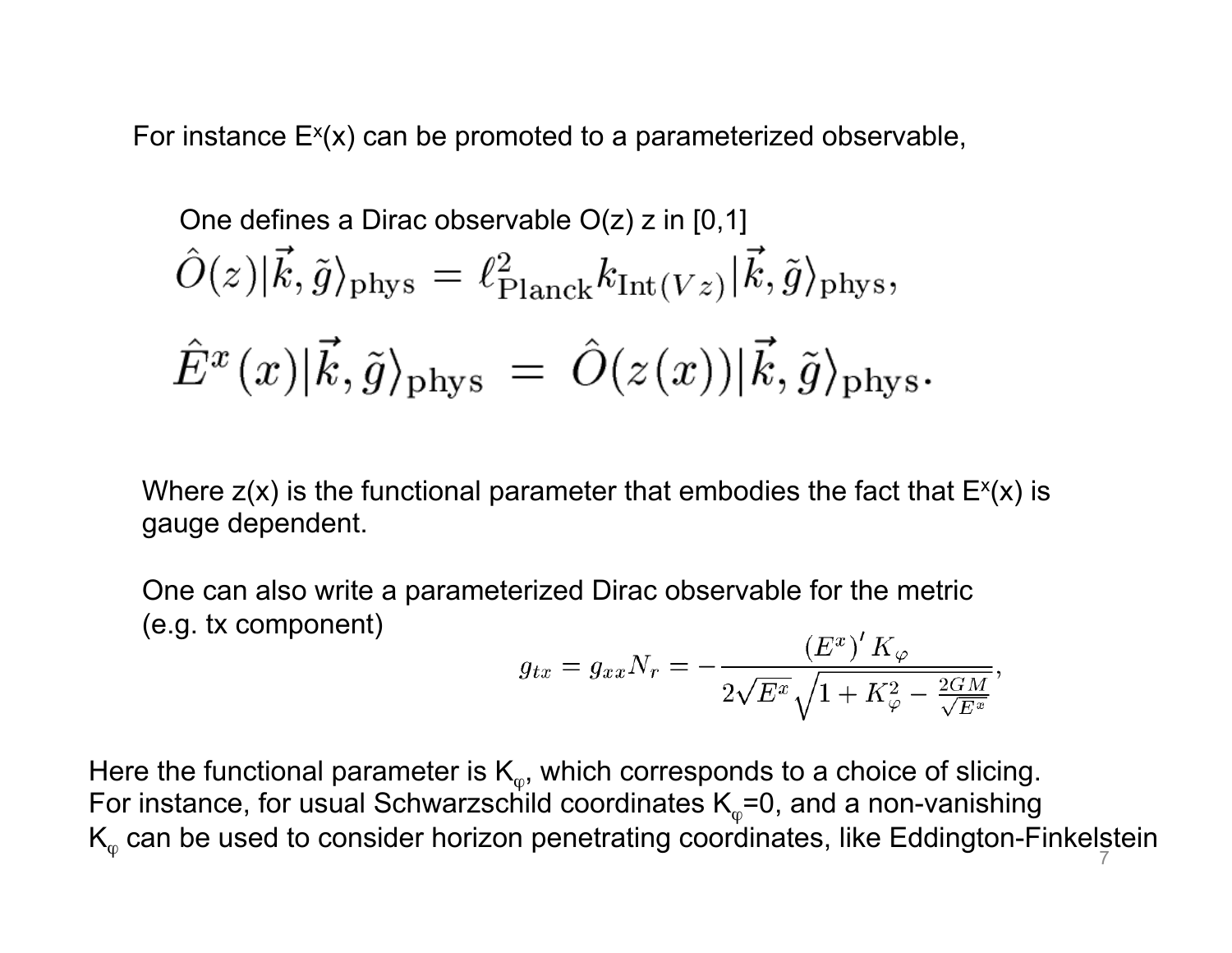For instance  $E^{x}(x)$  can be promoted to a parameterized observable,

One defines a Dirac observable O(z) z in [0,1]  
\n
$$
\hat{O}(z)|\vec{k}, \tilde{g}\rangle_{\rm phys} = \ell_{\rm Planck}^2 k_{\rm Int(Vz)}|\vec{k}, \tilde{g}\rangle_{\rm phys},
$$
\n
$$
\hat{E}^x(x)|\vec{k}, \tilde{g}\rangle_{\rm phys} = \hat{O}(z(x))|\vec{k}, \tilde{g}\rangle_{\rm phys}.
$$

Where  $z(x)$  is the functional parameter that embodies the fact that  $E^{x}(x)$  is gauge dependent.

One can also write a parameterized Dirac observable for the metric (e.g. tx component)

$$
g_{tx}=g_{xx}N_r=-\frac{\left(E^x\right)'\,K_\varphi}{2\sqrt{E^x}\sqrt{1+K_\varphi^2-\frac{2GM}{\sqrt{E^x}}}},
$$

Here the functional parameter is  $\mathsf{K}_{\scriptscriptstyle(\phi)}$ , which corresponds to a choice of slicing. For instance, for usual Schwarzschild coordinates  $\mathsf{K}_\phi\texttt{=}$ 0, and a non-vanishing  $K_{\varphi}$  can be used to consider horizon penetrating coordinates, like Eddington-Finkelstein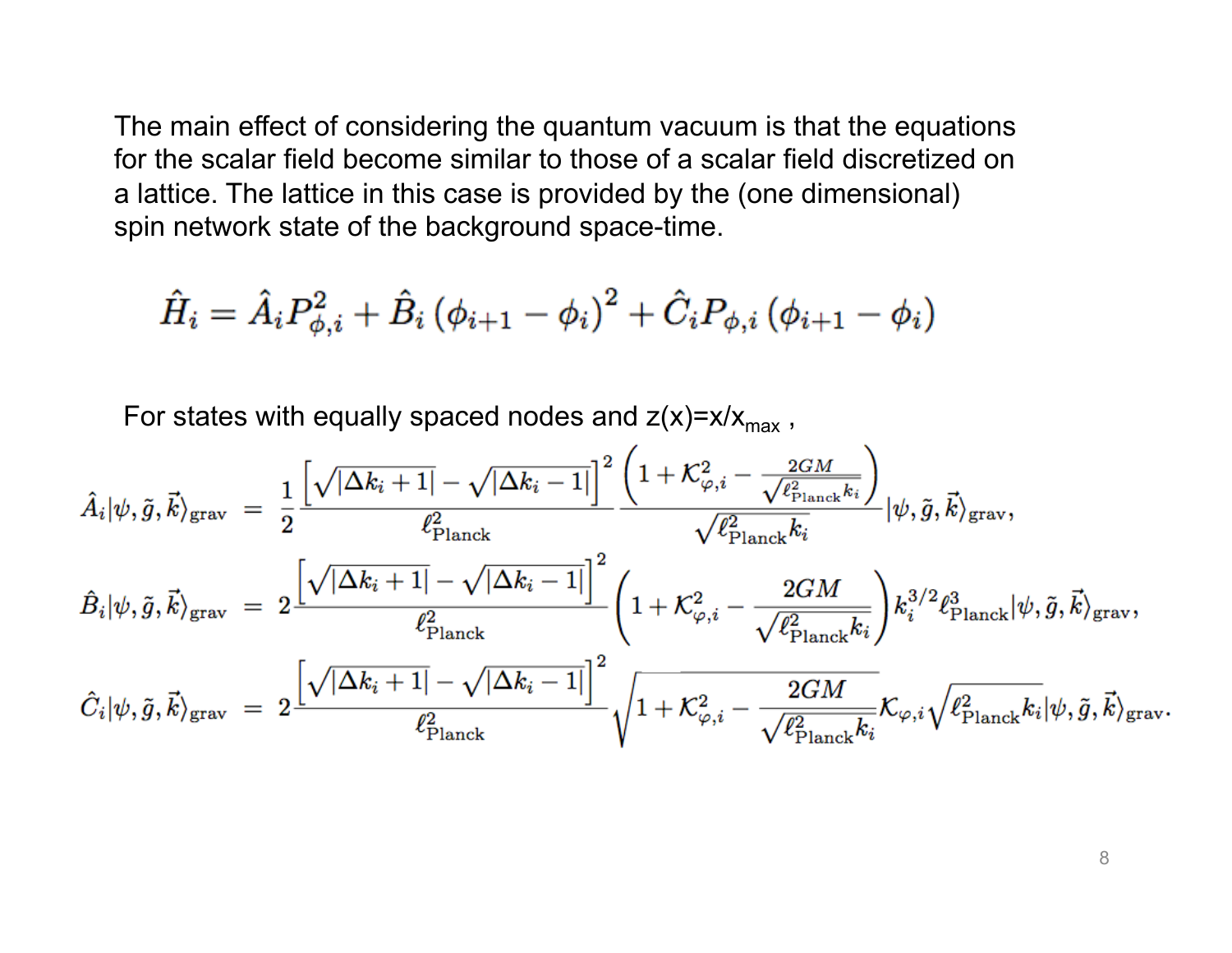The main effect of considering the quantum vacuum is that the equations for the scalar field become similar to those of a scalar field discretized on a lattice. The lattice in this case is provided by the (one dimensional) spin network state of the background space-time.

$$
\hat{H}_i = \hat{A}_i P_{\phi,i}^2 + \hat{B}_i \left(\phi_{i+1} - \phi_i\right)^2 + \hat{C}_i P_{\phi,i} \left(\phi_{i+1} - \phi_i\right)
$$

For states with equally spaced nodes and  $z(x)=x/x_{max}$ ,

$$
\begin{aligned} &\hat{A}_i|\psi,\tilde{g},\vec{k}\rangle_\text{grav} \;=\; \frac{1}{2}\frac{\left[\sqrt{|\Delta k_i+1|}-\sqrt{|\Delta k_i-1|}\right]^2\left(1+\mathcal{K}_{\varphi,i}^2-\frac{2GM}{\sqrt{\ell_{\text{Planck}}^2k_i}}\right)}{\ell_{\text{Planck}}^2k_i}|\psi,\tilde{g},\vec{k}\rangle_\text{grav},\\ &\hat{B}_i|\psi,\tilde{g},\vec{k}\rangle_\text{grav} \;=\; 2\frac{\left[\sqrt{|\Delta k_i+1|}-\sqrt{|\Delta k_i-1|}\right]^2}{\ell_{\text{Planck}}^2}\left(1+\mathcal{K}_{\varphi,i}^2-\frac{2GM}{\sqrt{\ell_{\text{Planck}}^2k_i}}\right)k_i^{3/2}\ell_{\text{Planck}}^3|\psi,\tilde{g},\vec{k}\rangle_\text{grav},\\ &\hat{C}_i|\psi,\tilde{g},\vec{k}\rangle_\text{grav} \;=\; 2\frac{\left[\sqrt{|\Delta k_i+1|}-\sqrt{|\Delta k_i-1|}\right]^2}{\ell_{\text{Planck}}^2}\sqrt{1+\mathcal{K}_{\varphi,i}^2-\frac{2GM}{\sqrt{\ell_{\text{Planck}}^2k_i}}}\mathcal{K}_{\varphi,i}\sqrt{\ell_{\text{Planck}}^2k_i}|\psi,\tilde{g},\vec{k}\rangle_\text{grav}. \end{aligned}
$$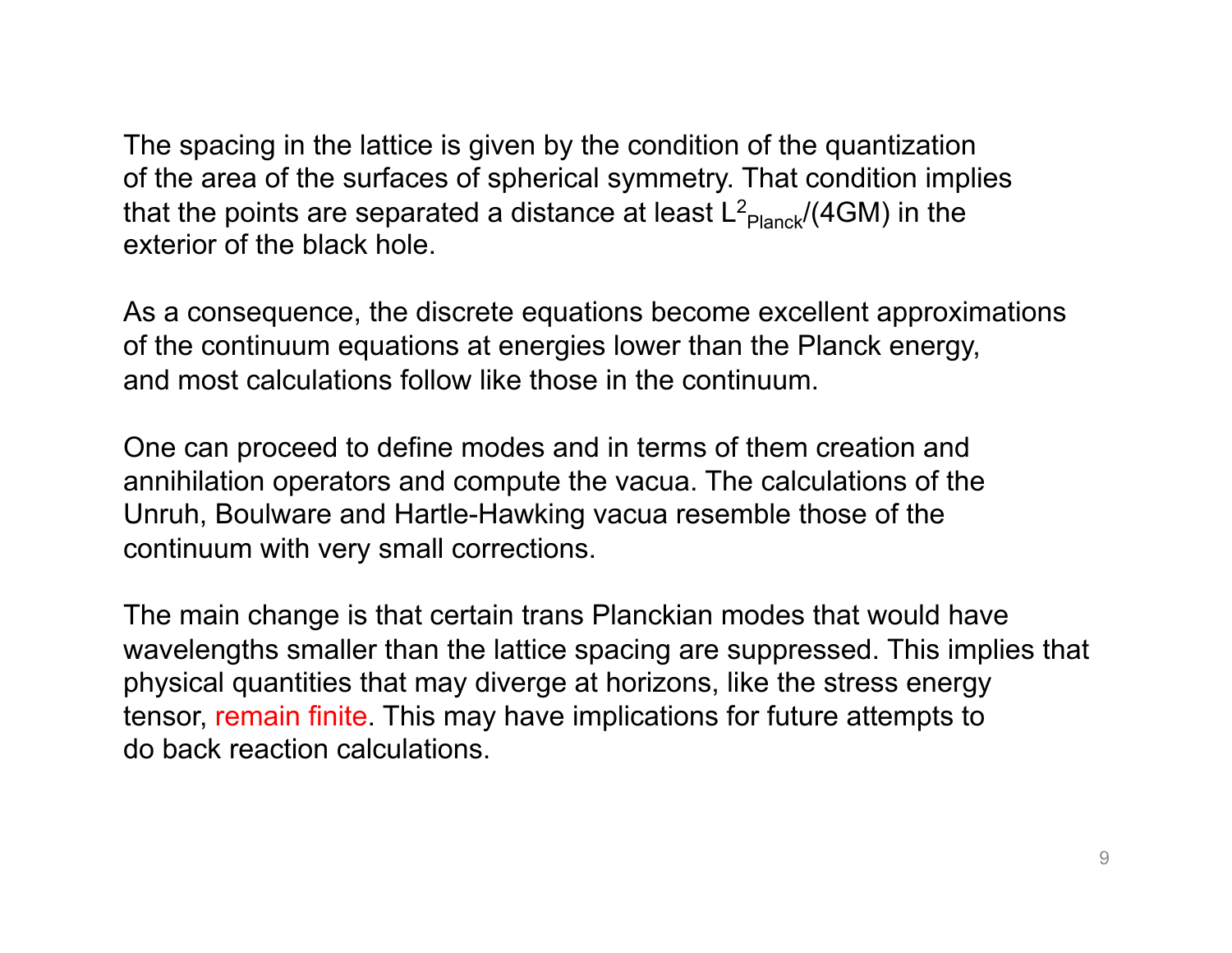The spacing in the lattice is given by the condition of the quantization of the area of the surfaces of spherical symmetry. That condition implies that the points are separated a distance at least  $\mathsf{L}^2_\mathsf{Planck}\text{/}\mathsf{(4GM)}$  in the exterior of the black hole.

As a consequence, the discrete equations become excellent approximations of the continuum equations at energies lower than the Planck energy, and most calculations follow like those in the continuum.

One can proceed to define modes and in terms of them creation and annihilation operators and compute the vacua. The calculations of the Unruh, Boulware and Hartle-Hawking vacua resemble those of the continuum with very small corrections.

The main change is that certain trans Planckian modes that would have wavelengths smaller than the lattice spacing are suppressed. This implies that physical quantities that may diverge at horizons, like the stress energy tensor, remain finite. This may have implications for future attempts to do back reaction calculations.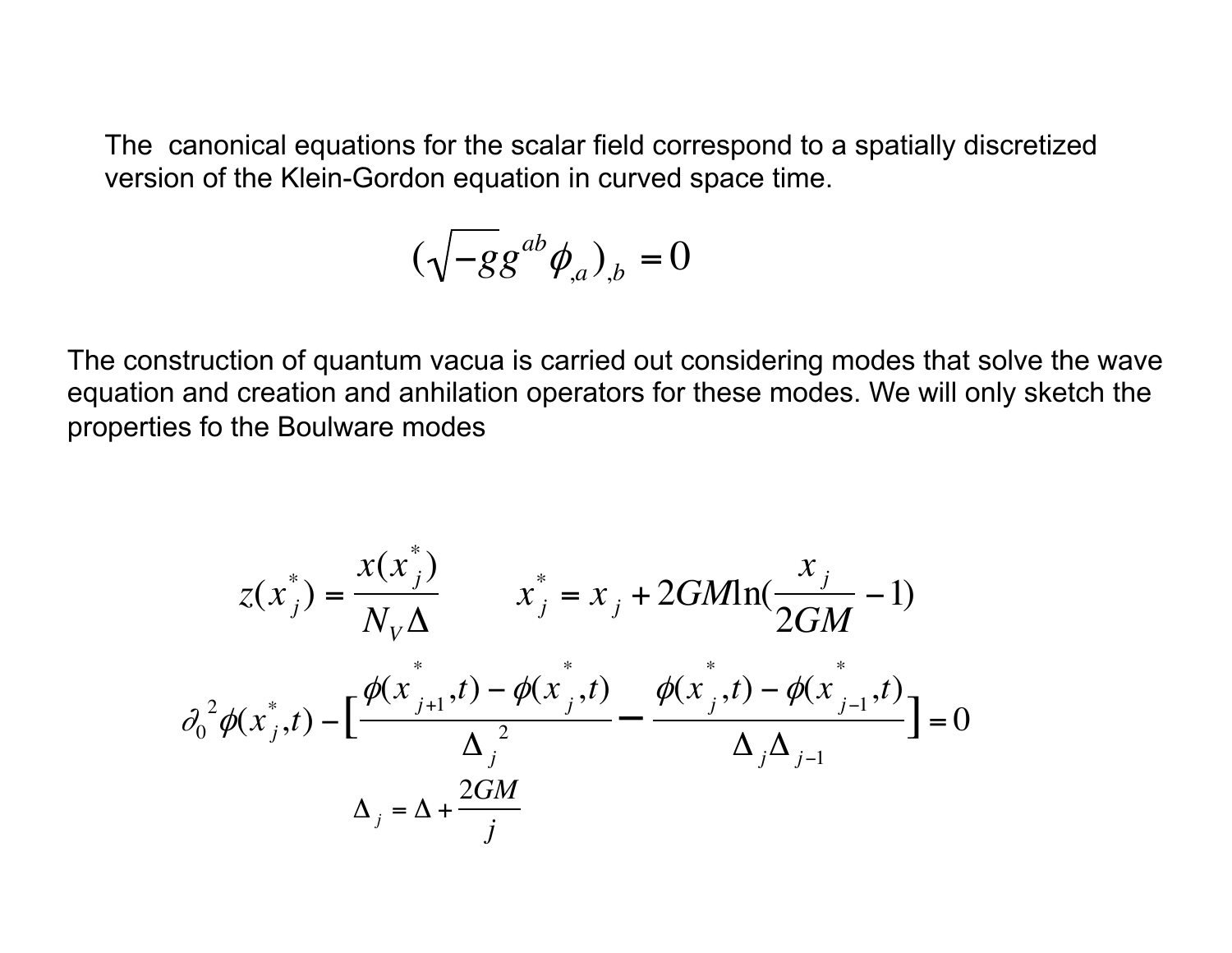The canonical equations for the scalar field correspond to a spatially discretized version of the Klein-Gordon equation in curved space time.

$$
(\sqrt{-gg^{ab}\phi_{,a}})_{,b}=0
$$

properties fo the Boulware modes The construction of quantum vacua is carried out considering modes that solve the wave equation and creation and anhilation operators for these modes. We will only sketch the

$$
z(x_j^*) = \frac{x(x_j^*)}{N_V \Delta} \qquad x_j^* = x_j + 2GM \ln(\frac{x_j}{2GM} - 1)
$$

$$
\partial_0^2 \phi(x_j^*, t) - \left[ \frac{\phi(x_{j+1}^*, t) - \phi(x_j^*, t)}{\Delta_j^2} - \frac{\phi(x_j^*, t) - \phi(x_{j-1}^*, t)}{\Delta_j \Delta_{j-1}} \right] = 0
$$

$$
\Delta_j = \Delta + \frac{2GM}{j}
$$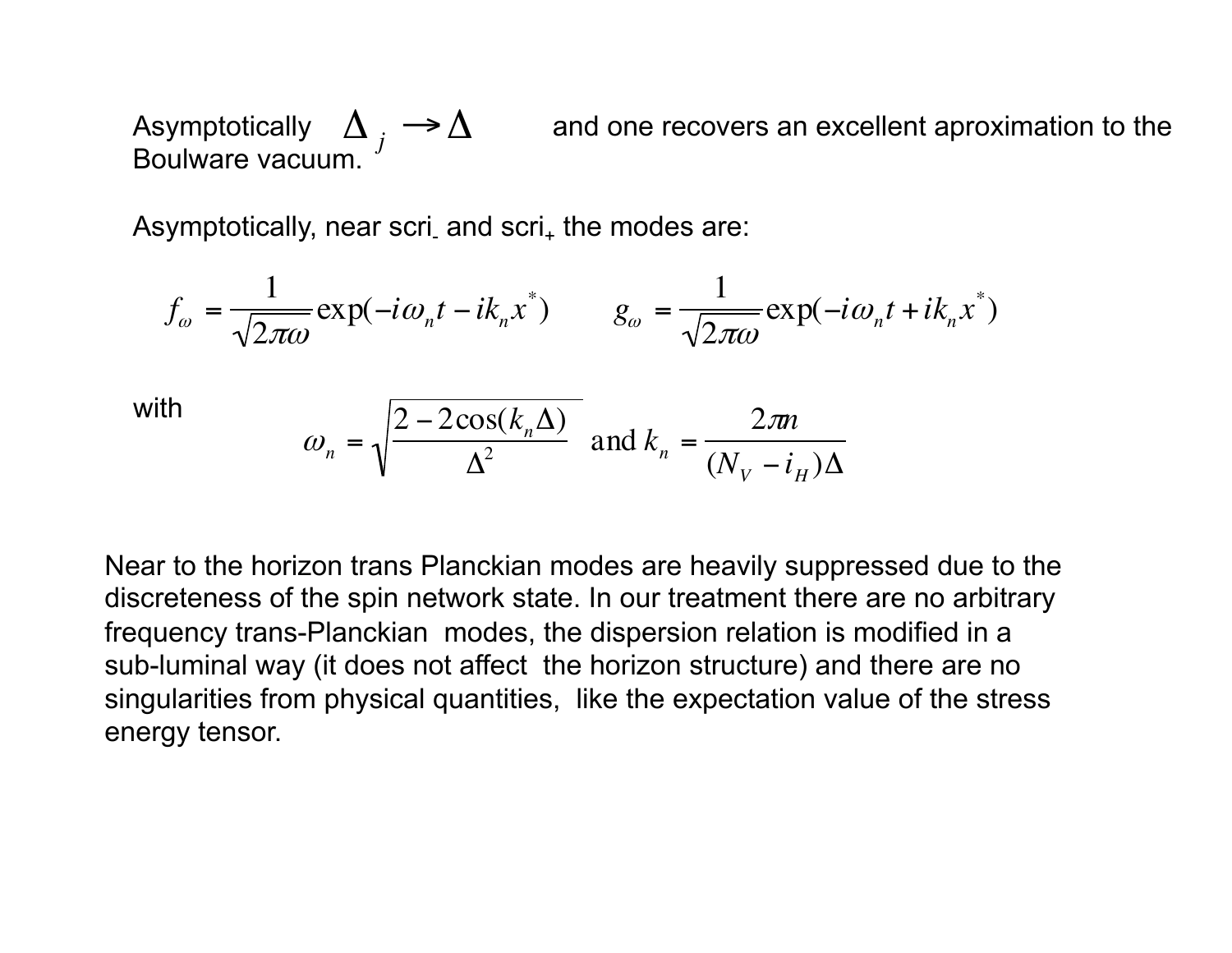and one recovers an excellent aproximation to the Boulware vacuum.  $\Delta_{j} \rightarrow \Delta$ 

Asymptotically, near scri<sub>-</sub> and scri<sub>+</sub> the modes are:

$$
f_{\omega} = \frac{1}{\sqrt{2\pi\omega}} \exp(-i\omega_n t - ik_n x^*) \qquad g_{\omega} = \frac{1}{\sqrt{2\pi\omega}} \exp(-i\omega_n t + ik_n x^*)
$$

with

$$
\omega_n = \sqrt{\frac{2 - 2\cos(k_n \Delta)}{\Delta^2}} \text{ and } k_n = \frac{2\pi n}{(N_V - i_H)\Delta}
$$

discreteness of the spin network state. In our treatment there are no arbitrary Near to the horizon trans Planckian modes are heavily suppressed due to the frequency trans-Planckian modes, the dispersion relation is modified in a sub-luminal way (it does not affect the horizon structure) and there are no singularities from physical quantities, like the expectation value of the stress energy tensor.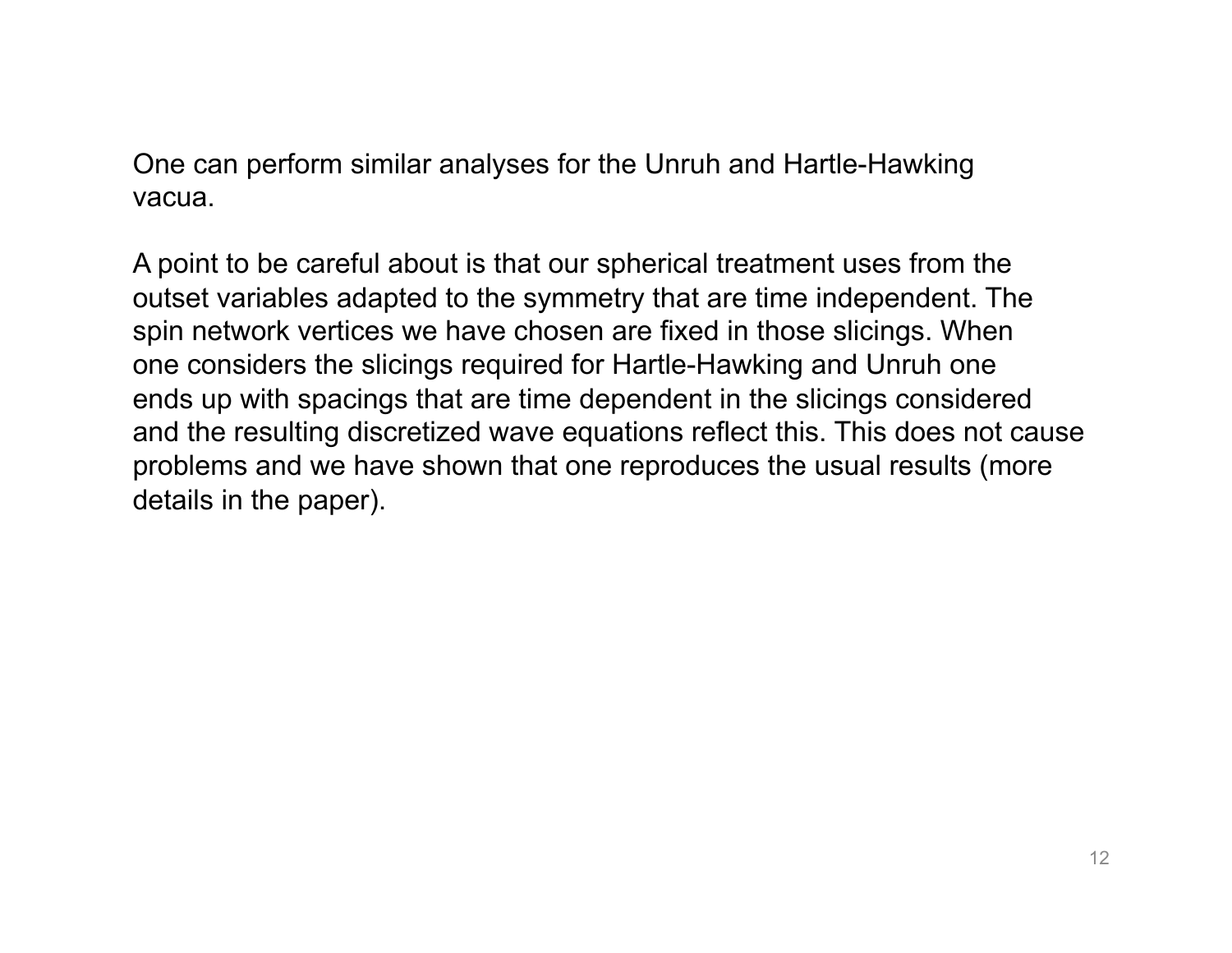One can perform similar analyses for the Unruh and Hartle-Hawking vacua.

A point to be careful about is that our spherical treatment uses from the outset variables adapted to the symmetry that are time independent. The spin network vertices we have chosen are fixed in those slicings. When one considers the slicings required for Hartle-Hawking and Unruh one ends up with spacings that are time dependent in the slicings considered and the resulting discretized wave equations reflect this. This does not cause problems and we have shown that one reproduces the usual results (more details in the paper).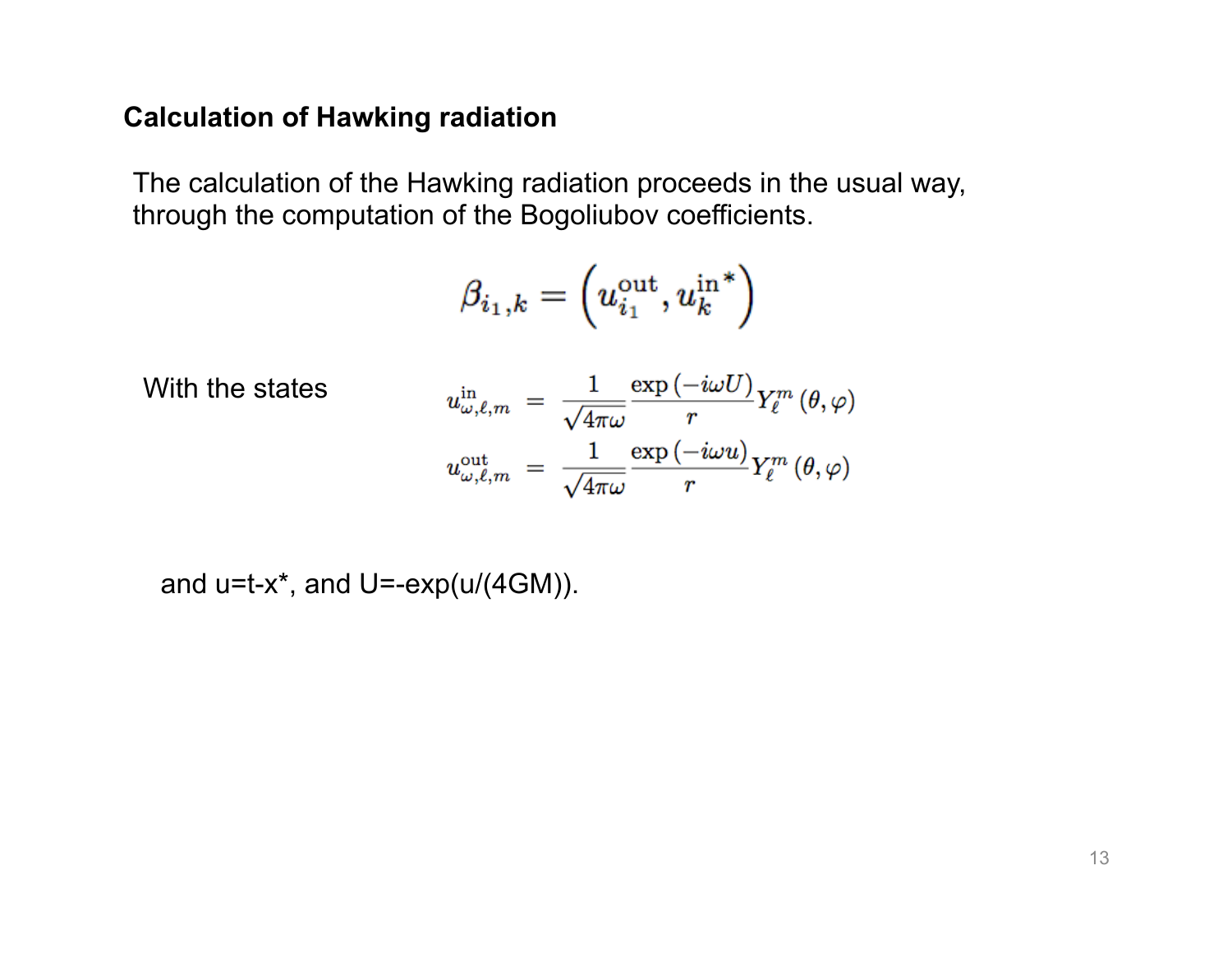### **Calculation of Hawking radiation**

The calculation of the Hawking radiation proceeds in the usual way, through the computation of the Bogoliubov coefficients.

$$
\beta_{i_1,k}=\left(u_{i_1}^{\mathrm{out}},u_k^{\mathrm{in}\, *}\right)
$$

With the states

$$
u_{\omega,\ell,m}^{\rm in} \;=\; \frac{1}{\sqrt{4\pi\omega}} \frac{\exp\left(-i\omega U\right)}{r} Y_\ell^m\left(\theta,\varphi\right)\\ u_{\omega,\ell,m}^{\rm out} \;=\; \frac{1}{\sqrt{4\pi\omega}} \frac{\exp\left(-i\omega u\right)}{r} Y_\ell^m\left(\theta,\varphi\right)
$$

and  $u=t-x^*$ , and  $U=-exp(u/(4GM))$ .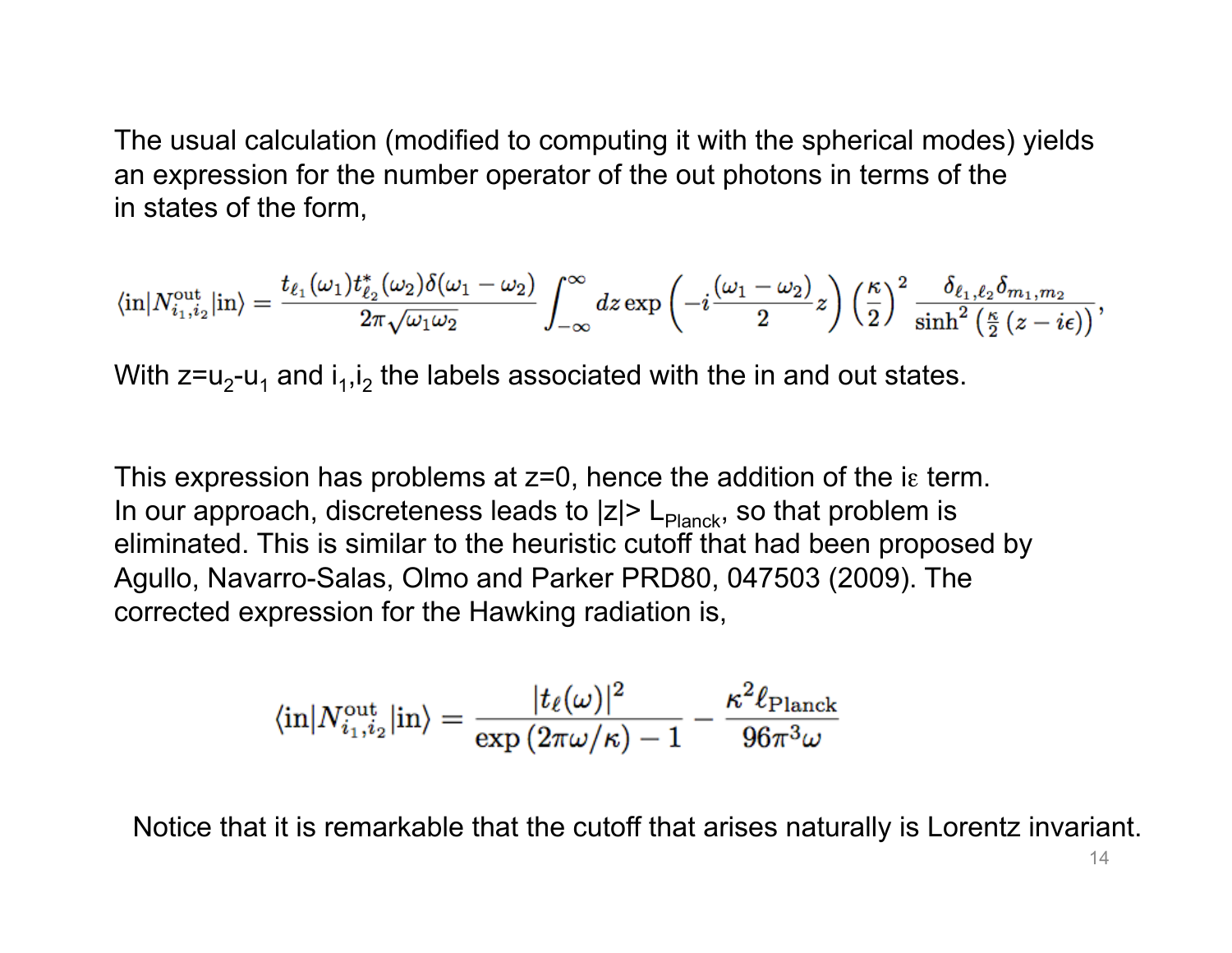The usual calculation (modified to computing it with the spherical modes) yields an expression for the number operator of the out photons in terms of the in states of the form,

$$
\langle \text{in}|N^{\text{out}}_{i_1,i_2}|\text{in}\rangle=\frac{t_{\ell_1}(\omega_1)t^*_{\ell_2}(\omega_2)\delta(\omega_1-\omega_2)}{2\pi\sqrt{\omega_1\omega_2}}\int_{-\infty}^{\infty}dz\exp\left(-i\frac{(\omega_1-\omega_2)}{2}z\right)\left(\frac{\kappa}{2}\right)^2\frac{\delta_{\ell_1,\ell_2}\delta_{m_1,m_2}}{\sinh^2\left(\frac{\kappa}{2}\left(z-i\epsilon\right)\right)},
$$

With  $z = u_2-u_1$  and  $i_1,i_2$  the labels associated with the in and out states.

This expression has problems at z=0, hence the addition of the iε term. In our approach, discreteness leads to  $|z|$  L<sub>Planck</sub>, so that problem is eliminated. This is similar to the heuristic cutoff that had been proposed by Agullo, Navarro-Salas, Olmo and Parker PRD80, 047503 (2009). The corrected expression for the Hawking radiation is,

$$
\langle \text{in}|N_{i_1,i_2}^{\text{out}}|\text{in}\rangle = \frac{|t_\ell(\omega)|^2}{\exp\left(2\pi\omega/\kappa\right)-1}-\frac{\kappa^2\ell_{\text{Planck}}}{96\pi^3\omega}
$$

Notice that it is remarkable that the cutoff that arises naturally is Lorentz invariant.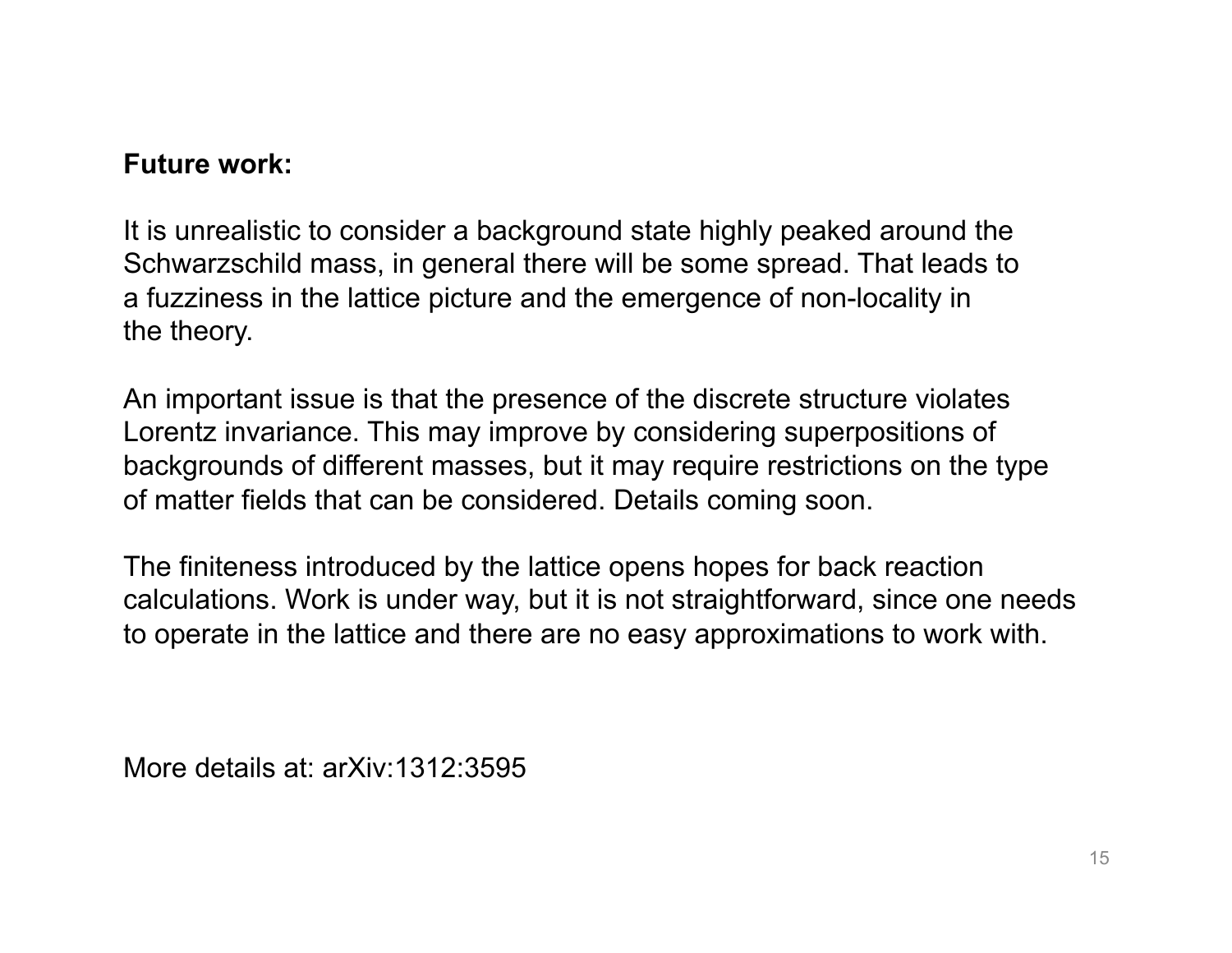### **Future work:**

It is unrealistic to consider a background state highly peaked around the Schwarzschild mass, in general there will be some spread. That leads to a fuzziness in the lattice picture and the emergence of non-locality in the theory.

An important issue is that the presence of the discrete structure violates Lorentz invariance. This may improve by considering superpositions of backgrounds of different masses, but it may require restrictions on the type of matter fields that can be considered. Details coming soon.

The finiteness introduced by the lattice opens hopes for back reaction calculations. Work is under way, but it is not straightforward, since one needs to operate in the lattice and there are no easy approximations to work with.

More details at: arXiv:1312:3595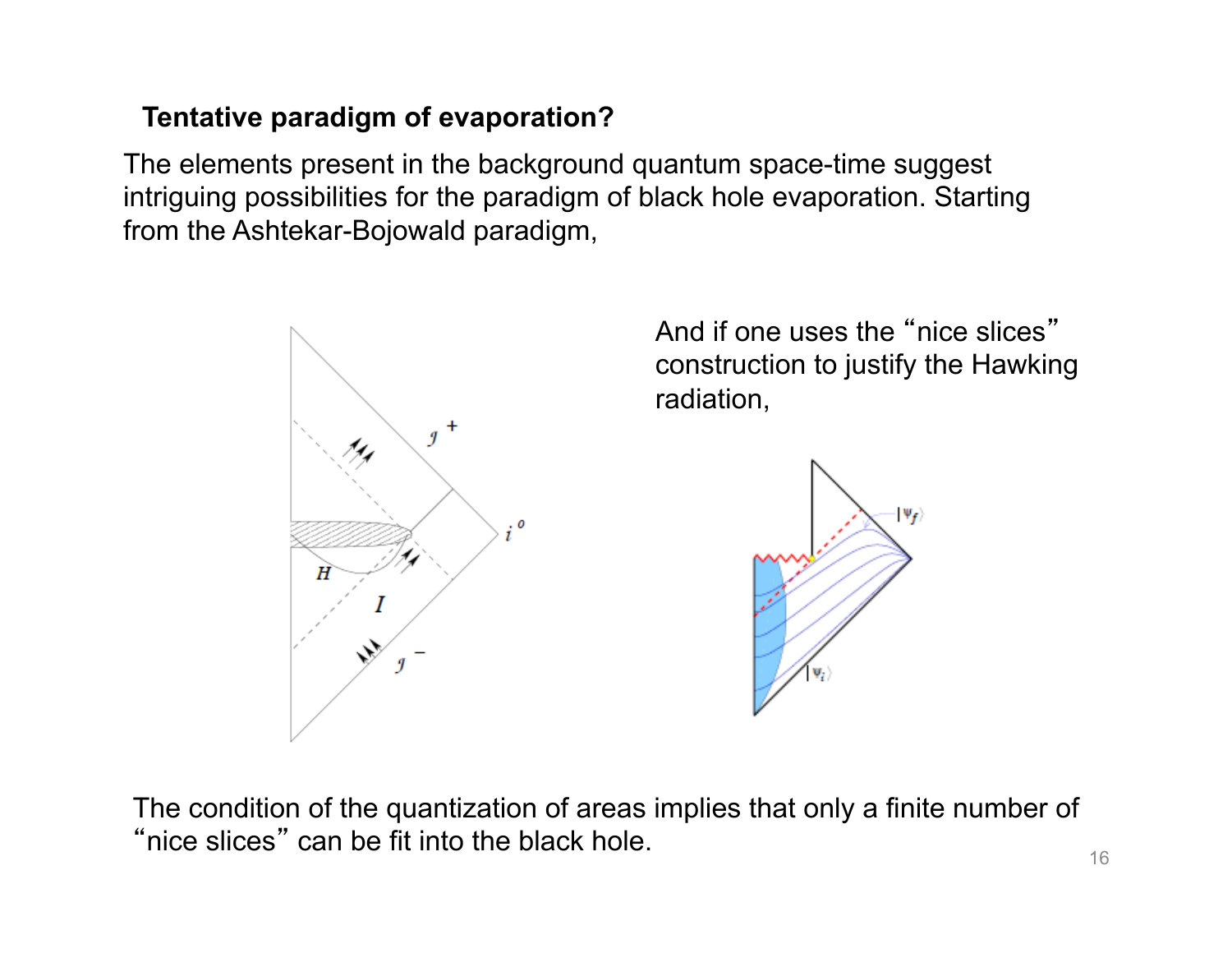## **Tentative paradigm of evaporation?**

The elements present in the background quantum space-time suggest intriguing possibilities for the paradigm of black hole evaporation. Starting from the Ashtekar-Bojowald paradigm,



And if one uses the "nice slices" construction to justify the Hawking radiation,



The condition of the quantization of areas implies that only a finite number of "nice slices" can be fit into the black hole.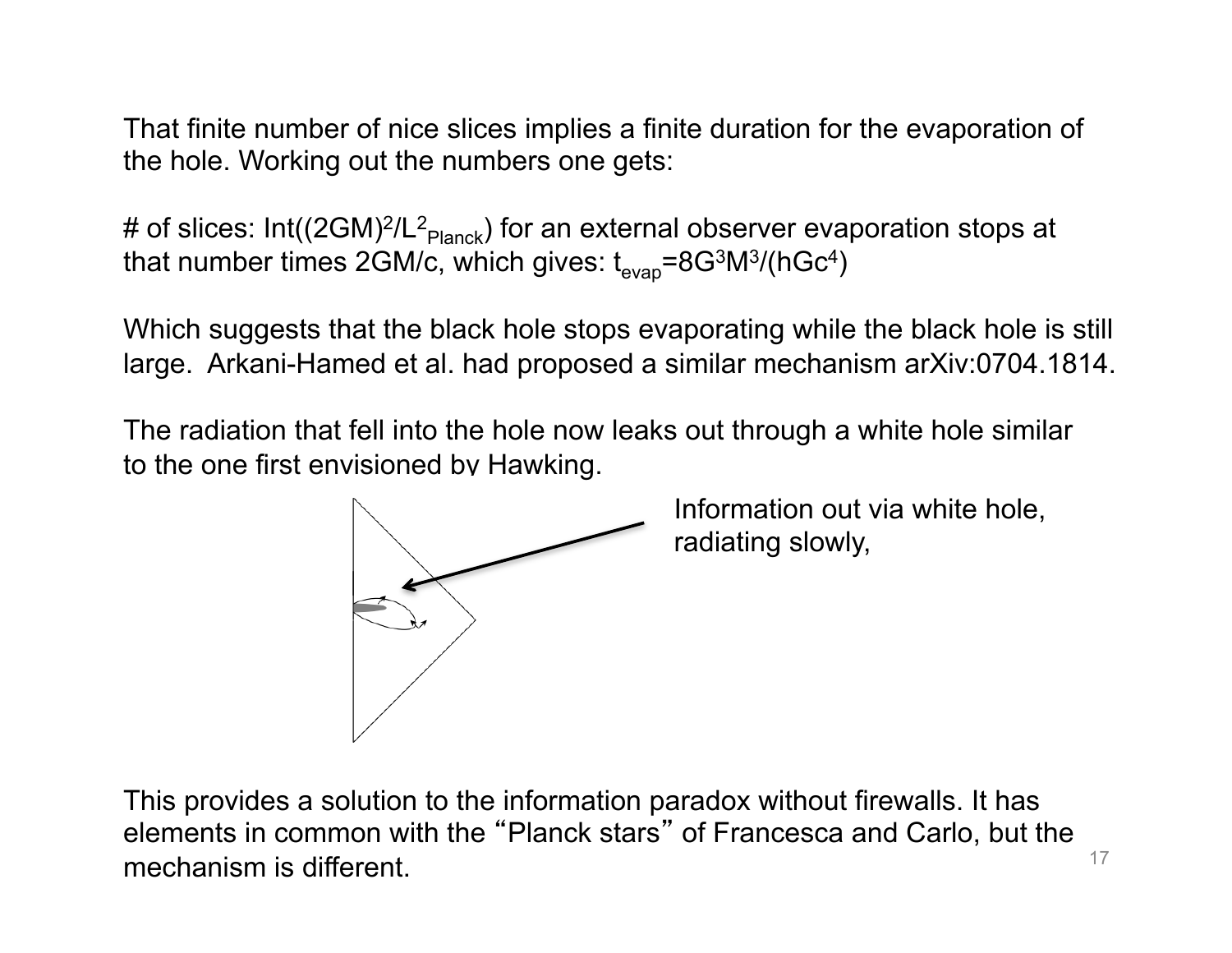That finite number of nice slices implies a finite duration for the evaporation of the hole. Working out the numbers one gets:

# of slices: Int((2GM)<sup>2</sup>/L<sup>2</sup><sub>Planck</sub>) for an external observer evaporation stops at that number times 2GM/c, which gives:  $t_{\text{evap}} = 8 \text{G}^3 \text{M}^3 / (\text{hGc}^4)$ 

Which suggests that the black hole stops evaporating while the black hole is still large. Arkani-Hamed et al. had proposed a similar mechanism arXiv:0704.1814.

The radiation that fell into the hole now leaks out through a white hole similar to the one first envisioned by Hawking.



Information out via white hole, radiating slowly,

17 This provides a solution to the information paradox without firewalls. It has elements in common with the "Planck stars" of Francesca and Carlo, but the mechanism is different.